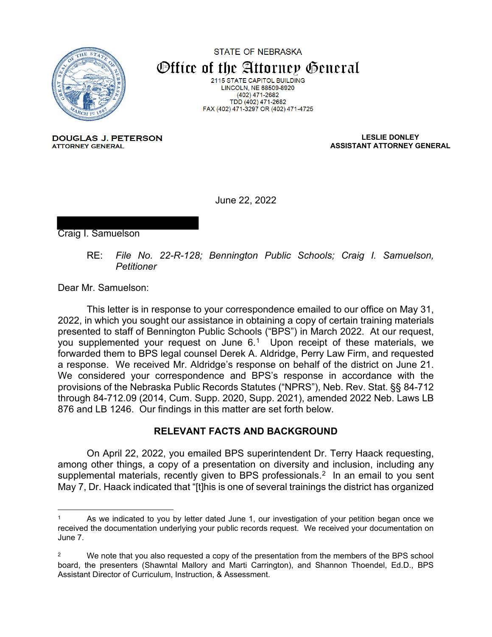

STATE OF NEBRASKA Office of the Attorney General 2115 STATE CAPITOL BUILDING LINCOLN, NE 68509-8920 (402) 471-2682 TDD (402) 471-2682 FAX (402) 471-3297 OR (402) 471-4725

**DOUGLAS J. PETERSON ATTORNEY GENERAL** 

**LESLIE DONLEY ASSISTANT ATTORNEY GENERAL**

June 22, 2022

Craig I. Samuelson

RE: *File No. 22-R-128; Bennington Public Schools; Craig I. Samuelson, Petitioner*

Dear Mr. Samuelson:

This letter is in response to your correspondence emailed to our office on May 31, 2022, in which you sought our assistance in obtaining a copy of certain training materials presented to staff of Bennington Public Schools ("BPS") in March 2022. At our request, you supplemented your request on June  $6<sup>1</sup>$  $6<sup>1</sup>$  $6<sup>1</sup>$  Upon receipt of these materials, we forwarded them to BPS legal counsel Derek A. Aldridge, Perry Law Firm, and requested a response. We received Mr. Aldridge's response on behalf of the district on June 21. We considered your correspondence and BPS's response in accordance with the provisions of the Nebraska Public Records Statutes ("NPRS"), Neb. Rev. Stat. §§ 84-712 through 84-712.09 (2014, Cum. Supp. 2020, Supp. 2021), amended 2022 Neb. Laws LB 876 and LB 1246. Our findings in this matter are set forth below.

## **RELEVANT FACTS AND BACKGROUND**

On April 22, 2022, you emailed BPS superintendent Dr. Terry Haack requesting, among other things, a copy of a presentation on diversity and inclusion, including any supplemental materials, recently given to BPS professionals. [2](#page-0-1) In an email to you sent May 7, Dr. Haack indicated that "[t]his is one of several trainings the district has organized

<span id="page-0-0"></span>As we indicated to you by letter dated June 1, our investigation of your petition began once we received the documentation underlying your public records request. We received your documentation on June 7.

<span id="page-0-1"></span><sup>&</sup>lt;sup>2</sup> We note that you also requested a copy of the presentation from the members of the BPS school board, the presenters (Shawntal Mallory and Marti Carrington), and Shannon Thoendel, Ed.D., BPS Assistant Director of Curriculum, Instruction, & Assessment.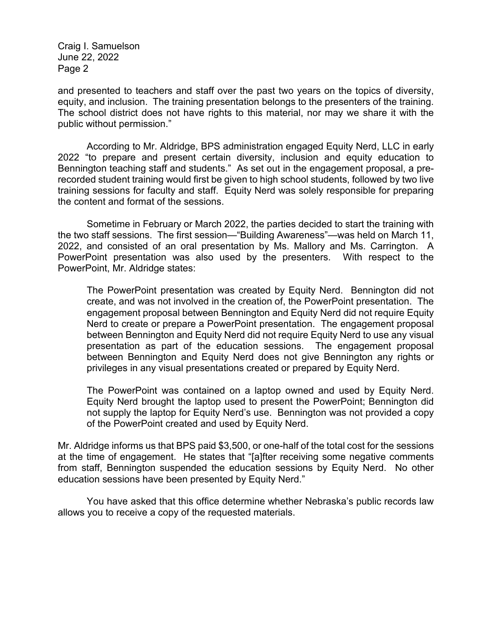and presented to teachers and staff over the past two years on the topics of diversity, equity, and inclusion. The training presentation belongs to the presenters of the training. The school district does not have rights to this material, nor may we share it with the public without permission."

According to Mr. Aldridge, BPS administration engaged Equity Nerd, LLC in early 2022 "to prepare and present certain diversity, inclusion and equity education to Bennington teaching staff and students." As set out in the engagement proposal, a prerecorded student training would first be given to high school students, followed by two live training sessions for faculty and staff. Equity Nerd was solely responsible for preparing the content and format of the sessions.

Sometime in February or March 2022, the parties decided to start the training with the two staff sessions. The first session—"Building Awareness"—was held on March 11, 2022, and consisted of an oral presentation by Ms. Mallory and Ms. Carrington. A PowerPoint presentation was also used by the presenters. With respect to the PowerPoint, Mr. Aldridge states:

The PowerPoint presentation was created by Equity Nerd. Bennington did not create, and was not involved in the creation of, the PowerPoint presentation. The engagement proposal between Bennington and Equity Nerd did not require Equity Nerd to create or prepare a PowerPoint presentation. The engagement proposal between Bennington and Equity Nerd did not require Equity Nerd to use any visual presentation as part of the education sessions. The engagement proposal between Bennington and Equity Nerd does not give Bennington any rights or privileges in any visual presentations created or prepared by Equity Nerd.

The PowerPoint was contained on a laptop owned and used by Equity Nerd. Equity Nerd brought the laptop used to present the PowerPoint; Bennington did not supply the laptop for Equity Nerd's use. Bennington was not provided a copy of the PowerPoint created and used by Equity Nerd.

Mr. Aldridge informs us that BPS paid \$3,500, or one-half of the total cost for the sessions at the time of engagement. He states that "[a]fter receiving some negative comments from staff, Bennington suspended the education sessions by Equity Nerd. No other education sessions have been presented by Equity Nerd."

You have asked that this office determine whether Nebraska's public records law allows you to receive a copy of the requested materials.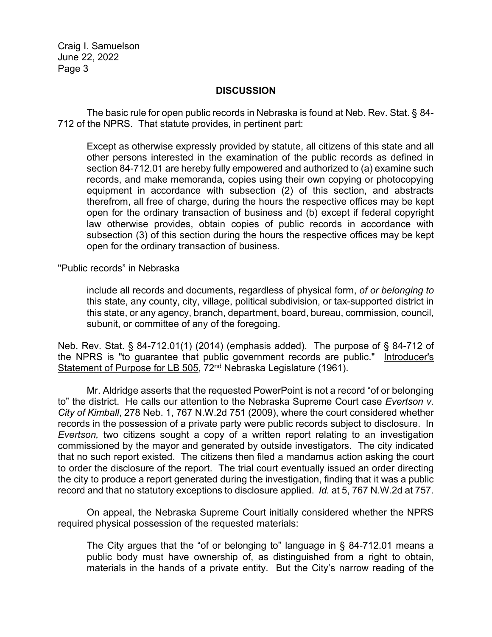## **DISCUSSION**

The basic rule for open public records in Nebraska is found at Neb. Rev. Stat. § 84- 712 of the NPRS. That statute provides, in pertinent part:

Except as otherwise expressly provided by statute, all citizens of this state and all other persons interested in the examination of the public records as defined in section 84-712.01 are hereby fully empowered and authorized to (a) examine such records, and make memoranda, copies using their own copying or photocopying equipment in accordance with subsection (2) of this section, and abstracts therefrom, all free of charge, during the hours the respective offices may be kept open for the ordinary transaction of business and (b) except if federal copyright law otherwise provides, obtain copies of public records in accordance with subsection (3) of this section during the hours the respective offices may be kept open for the ordinary transaction of business.

"Public records" in Nebraska

include all records and documents, regardless of physical form, *of or belonging to* this state, any county, city, village, political subdivision, or tax-supported district in this state, or any agency, branch, department, board, bureau, commission, council, subunit, or committee of any of the foregoing.

Neb. Rev. Stat. § 84-712.01(1) (2014) (emphasis added). The purpose of § 84-712 of the NPRS is "to guarantee that public government records are public." Introducer's Statement of Purpose for LB 505, 72<sup>nd</sup> Nebraska Legislature (1961).

Mr. Aldridge asserts that the requested PowerPoint is not a record "of or belonging to" the district. He calls our attention to the Nebraska Supreme Court case *Evertson v. City of Kimball*, 278 Neb. 1, 767 N.W.2d 751 (2009), where the court considered whether records in the possession of a private party were public records subject to disclosure. In *Evertson,* two citizens sought a copy of a written report relating to an investigation commissioned by the mayor and generated by outside investigators. The city indicated that no such report existed. The citizens then filed a mandamus action asking the court to order the disclosure of the report. The trial court eventually issued an order directing the city to produce a report generated during the investigation, finding that it was a public record and that no statutory exceptions to disclosure applied. *Id.* at 5, 767 N.W.2d at 757.

On appeal, the Nebraska Supreme Court initially considered whether the NPRS required physical possession of the requested materials:

The City argues that the "of or belonging to" language in § 84-712.01 means a public body must have ownership of, as distinguished from a right to obtain, materials in the hands of a private entity. But the City's narrow reading of the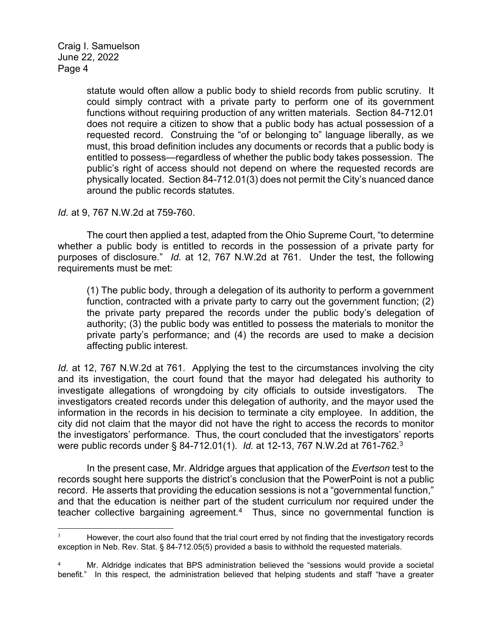> statute would often allow a public body to shield records from public scrutiny. It could simply contract with a private party to perform one of its government functions without requiring production of any written materials. Section 84-712.01 does not require a citizen to show that a public body has actual possession of a requested record. Construing the "of or belonging to" language liberally, as we must, this broad definition includes any documents or records that a public body is entitled to possess—regardless of whether the public body takes possession. The public's right of access should not depend on where the requested records are physically located. Section 84-712.01(3) does not permit the City's nuanced dance around the public records statutes.

*Id.* at 9, 767 N.W.2d at 759-760.

The court then applied a test, adapted from the Ohio Supreme Court, "to determine whether a public body is entitled to records in the possession of a private party for purposes of disclosure." *Id.* at 12, 767 N.W.2d at 761. Under the test, the following requirements must be met:

(1) The public body, through a delegation of its authority to perform a government function, contracted with a private party to carry out the government function; (2) the private party prepared the records under the public body's delegation of authority; (3) the public body was entitled to possess the materials to monitor the private party's performance; and (4) the records are used to make a decision affecting public interest.

*Id.* at 12, 767 N.W.2d at 761. Applying the test to the circumstances involving the city and its investigation, the court found that the mayor had delegated his authority to investigate allegations of wrongdoing by city officials to outside investigators. The investigators created records under this delegation of authority, and the mayor used the information in the records in his decision to terminate a city employee. In addition, the city did not claim that the mayor did not have the right to access the records to monitor the investigators' performance. Thus, the court concluded that the investigators' reports were public records under § 84-712.01(1). *Id.* at 12-13, 767 N.W.2d at 761-762[.3](#page-3-0)

In the present case, Mr. Aldridge argues that application of the *Evertson* test to the records sought here supports the district's conclusion that the PowerPoint is not a public record. He asserts that providing the education sessions is not a "governmental function," and that the education is neither part of the student curriculum nor required under the teacher collective bargaining agreement.<sup>4</sup> Thus, since no governmental function is

<span id="page-3-0"></span>However, the court also found that the trial court erred by not finding that the investigatory records exception in Neb. Rev. Stat. § 84-712.05(5) provided a basis to withhold the requested materials.

<span id="page-3-1"></span>Mr. Aldridge indicates that BPS administration believed the "sessions would provide a societal benefit." In this respect, the administration believed that helping students and staff "have a greater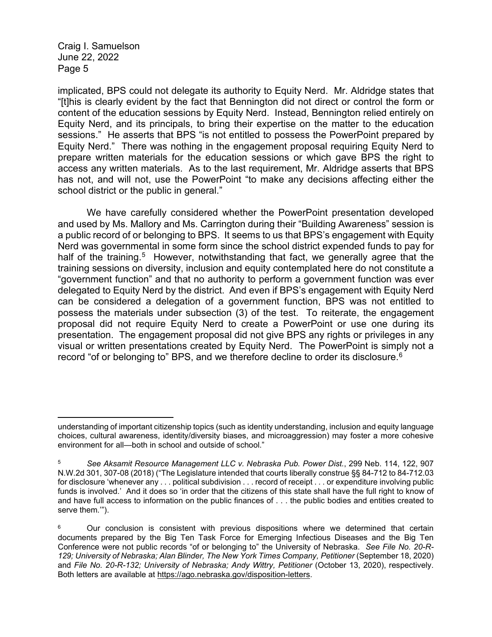implicated, BPS could not delegate its authority to Equity Nerd. Mr. Aldridge states that "[t]his is clearly evident by the fact that Bennington did not direct or control the form or content of the education sessions by Equity Nerd. Instead, Bennington relied entirely on Equity Nerd, and its principals, to bring their expertise on the matter to the education sessions." He asserts that BPS "is not entitled to possess the PowerPoint prepared by Equity Nerd." There was nothing in the engagement proposal requiring Equity Nerd to prepare written materials for the education sessions or which gave BPS the right to access any written materials. As to the last requirement, Mr. Aldridge asserts that BPS has not, and will not, use the PowerPoint "to make any decisions affecting either the school district or the public in general."

We have carefully considered whether the PowerPoint presentation developed and used by Ms. Mallory and Ms. Carrington during their "Building Awareness" session is a public record of or belonging to BPS. It seems to us that BPS's engagement with Equity Nerd was governmental in some form since the school district expended funds to pay for half of the training.<sup>5</sup> However, notwithstanding that fact, we generally agree that the training sessions on diversity, inclusion and equity contemplated here do not constitute a "government function" and that no authority to perform a government function was ever delegated to Equity Nerd by the district. And even if BPS's engagement with Equity Nerd can be considered a delegation of a government function, BPS was not entitled to possess the materials under subsection (3) of the test. To reiterate, the engagement proposal did not require Equity Nerd to create a PowerPoint or use one during its presentation. The engagement proposal did not give BPS any rights or privileges in any visual or written presentations created by Equity Nerd. The PowerPoint is simply not a record "of or belonging to" BPS, and we therefore decline to order its disclosure.<sup>[6](#page-4-1)</sup>

understanding of important citizenship topics (such as identity understanding, inclusion and equity language choices, cultural awareness, identity/diversity biases, and microaggression) may foster a more cohesive environment for all—both in school and outside of school."

<span id="page-4-0"></span><sup>5</sup> *See Aksamit Resource Management LLC v. Nebraska Pub. Power Dist.*, 299 Neb. 114, 122, 907 N.W.2d 301, 307-08 (2018) ("The Legislature intended that courts liberally construe §§ 84-712 to 84-712.03 for disclosure 'whenever any . . . political subdivision . . . record of receipt . . . or expenditure involving public funds is involved.' And it does so 'in order that the citizens of this state shall have the full right to know of and have full access to information on the public finances of . . . the public bodies and entities created to serve them.'").

<span id="page-4-1"></span> $6$  Our conclusion is consistent with previous dispositions where we determined that certain documents prepared by the Big Ten Task Force for Emerging Infectious Diseases and the Big Ten Conference were not public records "of or belonging to" the University of Nebraska. *See File No. 20-R-129; University of Nebraska; Alan Blinder, The New York Times Company, Petitioner* (September 18, 2020) and *File No. 20-R-132; University of Nebraska; Andy Wittry, Petitioner* (October 13, 2020), respectively. Both letters are available at [https://ago.nebraska.gov/disposition-letters.](https://ago.nebraska.gov/disposition-letters)